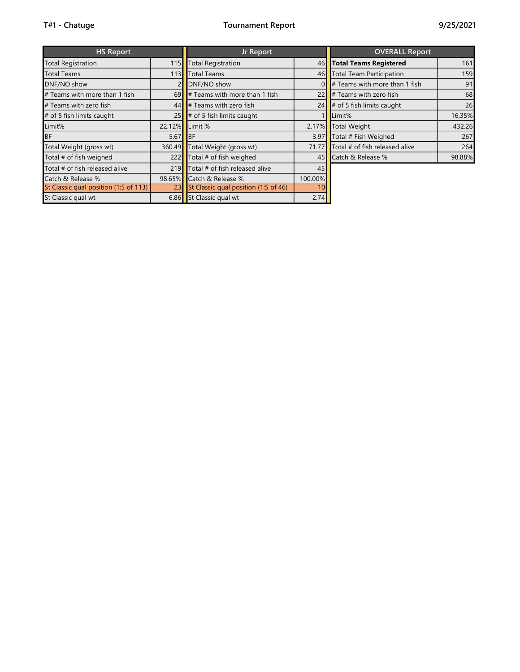| <b>HS Report</b>                      |        | Jr Report                            |         | <b>OVERALL Report</b>            |        |  |  |  |
|---------------------------------------|--------|--------------------------------------|---------|----------------------------------|--------|--|--|--|
| <b>Total Registration</b>             | 115    | <b>Total Registration</b>            | 46      | <b>Total Teams Registered</b>    | 161    |  |  |  |
| <b>Total Teams</b>                    | 1131   | Total Teams                          | 46      | <b>Total Team Participation</b>  | 159    |  |  |  |
| DNF/NO show                           |        | DNF/NO show                          |         | $#$ Teams with more than 1 fish  | 91     |  |  |  |
| # Teams with more than 1 fish         | 69     | $\#$ Teams with more than 1 fish     | 22      | $\sharp$ Teams with zero fish    | 68     |  |  |  |
| # Teams with zero fish                | 44     | $\parallel$ Teams with zero fish     | 24      | $\sharp$ of 5 fish limits caught | 26     |  |  |  |
| # of 5 fish limits caught             | 25     | $\sharp$ of 5 fish limits caught     |         | Limit%                           | 16.35% |  |  |  |
| Limit%                                | 22.12% | Limit %                              | 2.17%   | <b>Total Weight</b>              | 432.26 |  |  |  |
| <b>BF</b>                             | 5.67   | <b>BF</b>                            | 3.97    | Total # Fish Weighed             | 267    |  |  |  |
| Total Weight (gross wt)               | 360.49 | Total Weight (gross wt)              | 71.77   | Total # of fish released alive   | 264    |  |  |  |
| Total # of fish weighed               | 222    | Total # of fish weighed              | 45      | Catch & Release %                | 98.88% |  |  |  |
| Total # of fish released alive        | 219    | Total # of fish released alive       | 45      |                                  |        |  |  |  |
| Catch & Release %                     | 98.65% | Catch & Release %                    | 100.00% |                                  |        |  |  |  |
| St Classic qual position (1:5 of 113) | 23     | St Classic qual position (1:5 of 46) | 10      |                                  |        |  |  |  |
| St Classic qual wt                    |        | 6.86 St Classic qual wt              | 2.74    |                                  |        |  |  |  |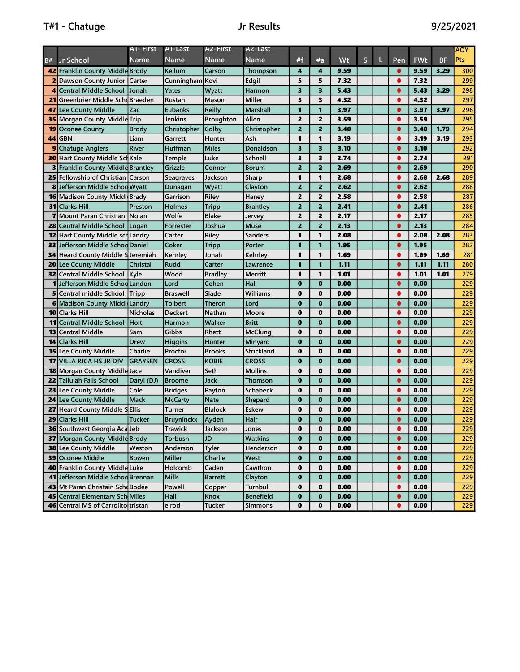|                 |                                                | A1- First                   | A1-Last                         | A2-First                      | A2-Last                 |                             |                   |              |   |   |                             |              |           | AOY        |
|-----------------|------------------------------------------------|-----------------------------|---------------------------------|-------------------------------|-------------------------|-----------------------------|-------------------|--------------|---|---|-----------------------------|--------------|-----------|------------|
| B#              | Jr School                                      | Name                        | <b>Name</b>                     | <b>Name</b>                   | <b>Name</b>             | #f                          | #a                | Wt           | S | Ш | Pen.                        | <b>FWt</b>   | <b>BF</b> | Pts        |
|                 | 42 Franklin County Middle Brody                |                             | Kellum                          | Carson                        | Thompson                | 4                           | 4                 | 9.59         |   |   | $\bullet$                   | 9.59         | 3.29      | 300        |
|                 | <b>2</b> Dawson County Junior   Carter         |                             | Cunningham Kovi                 |                               | Edgil                   | 5                           | 5                 | 7.32         |   |   | $\mathbf o$                 | 7.32         |           | 299        |
| $\overline{4}$  | <b>Central Middle School</b>                   | Jonah                       | Yates                           | Wyatt                         | Harmon                  | 3                           | 3                 | 5.43         |   |   | $\mathbf{0}$                | 5.43         | 3.29      | 298        |
| 21              | Greenbrier Middle SchdBraeden                  |                             | Rustan                          | Mason                         | <b>Miller</b>           | 3                           | 3                 | 4.32         |   |   | $\mathbf o$                 | 4.32         |           | 297        |
| 47              | Lee County Middle                              | Zac                         | Eubanks                         | <b>Reilly</b>                 | <b>Marshall</b>         | 1                           | 1                 | 3.97         |   |   | $\mathbf{0}$                | 3.97         | 3.97      | 296        |
| 35              | Morgan County Middle Trip                      |                             | Jenkins                         | <b>Broughton</b>              | Allen                   | $\overline{2}$              | $\overline{2}$    | 3.59         |   |   | $\mathbf o$                 | 3.59         |           | 295        |
| 19              | <b>Oconee County</b>                           | <b>Brody</b>                | Christopher                     | Colby                         | Christopher             | $\overline{2}$              | 2                 | 3.40         |   |   | $\mathbf o$                 | 3.40         | 1.79      | 294        |
| 44              | <b>GBN</b>                                     | Liam                        | Garrett                         | Hunter                        | Ash                     | 1                           | 1                 | 3.19         |   |   | $\mathbf 0$                 | 3.19         | 3.19      | 293        |
| 9               | <b>Chatuge Anglers</b>                         | River                       | Huffman                         | <b>Miles</b>                  | Donaldson               | 3                           | 3                 | 3.10         |   |   | $\mathbf{0}$                | 3.10         |           | 292        |
|                 | <b>30 Hart County Middle Scl Kale</b>          |                             | <b>Temple</b>                   | Luke                          | <b>Schnell</b>          | 3                           | 3                 | 2.74         |   |   | $\mathbf{0}$                | 2.74         |           | 291        |
|                 | <b>3</b> Franklin County Middle Brantley       |                             | Grizzle                         | Connor                        | <b>Borum</b>            | $\overline{2}$              | $\overline{2}$    | 2.69         |   |   | $\bullet$                   | 2.69         |           | 290        |
|                 | <b>25 Fellowship of Christian Carson</b>       |                             | Seagraves                       | Jackson                       | Sharp                   | 1                           | 1                 | 2.68         |   |   | $\mathbf 0$                 | 2.68         | 2.68      | 289        |
|                 | <b>8</b> Jefferson Middle Schod Wyatt          |                             | Dunagan                         | Wyatt                         | Clayton                 | $\overline{2}$              | 2                 | 2.62         |   |   | $\mathbf 0$                 | 2.62         |           | 288        |
|                 | <b>16 Madison County Middle Brady</b>          |                             | Garrison                        | Riley                         | Haney                   | $\overline{2}$              | $\overline{2}$    | 2.58         |   |   | $\mathbf 0$                 | 2.58         |           | 287        |
|                 | <b>31 Clarks Hill</b>                          | Preston                     | Holmes                          | <b>Tripp</b>                  | <b>Brantley</b>         | $\overline{2}$              | $\overline{2}$    | 2.41         |   |   | $\mathbf o$                 | 2.41         |           | 286        |
| $\mathbf{z}$    | <b>Mount Paran Christian</b>                   | Nolan                       | Wolfe                           | <b>Blake</b>                  | Jervey                  | $\overline{2}$              | 2                 | 2.17         |   |   | $\mathbf o$                 | 2.17         |           | 285        |
|                 | 28 Central Middle School                       | Logan                       | Forrester                       | Joshua                        | Muse                    | $\overline{2}$              | 2                 | 2.13         |   |   | $\mathbf 0$                 | 2.13         |           | 284        |
| 12 <sub>l</sub> | Hart County Middle sch Landry                  |                             | Carter                          | Riley                         | <b>Sanders</b>          | 1                           | 1                 | 2.08         |   |   | $\mathbf 0$                 | 2.08         | 2.08      | 283        |
| 33              | Jefferson Middle Schod Daniel                  |                             | Coker                           | <b>Tripp</b>                  | Porter                  | 1                           | 1                 | 1.95         |   |   | $\mathbf 0$                 | 1.95         |           | 282        |
|                 | <b>34 Heard County Middle S Jeremiah</b>       |                             | Kehrley                         | Jonah                         | Kehrley                 | 1                           | 1                 | 1.69         |   |   | $\mathbf{0}$                | 1.69         | 1.69      | 281        |
|                 | 20 Lee County Middle                           | <b>Christal</b>             | Rudd                            | Carter                        | Lawrence                | 1                           | 1                 | 1.11         |   |   | $\mathbf{0}$                | 1.11         | 1.11      | 280        |
|                 | <b>32</b> Central Middle School                | <b>Kyle</b>                 | Wood                            | <b>Bradley</b>                | Merritt                 | 1                           | 1                 | 1.01         |   |   | $\mathbf 0$                 | 1.01         | 1.01      | 279        |
|                 | 1 Jefferson Middle Schod Landon                |                             | Lord                            | Cohen                         | Hall                    | $\bf{0}$                    | $\mathbf{0}$      | 0.00         |   |   | $\mathbf{0}$                | 0.00         |           | 229        |
|                 | <b>5</b> Central middle School                 | Tripp                       | <b>Braswell</b>                 | Slade                         | Williams                | $\mathbf 0$                 | 0                 | 0.00         |   |   | $\mathbf o$                 | 0.00         |           | 229        |
|                 | <b>6</b> Madison County Middl Landry           |                             | <b>Tolbert</b>                  | Theron                        | Lord                    | $\bf{0}$                    | $\mathbf{0}$      | 0.00         |   |   | $\mathbf o$                 | 0.00         |           | 229        |
|                 | 10 Clarks Hill                                 | <b>Nicholas</b>             | Deckert                         | <b>Nathan</b>                 | Moore                   | $\mathbf 0$                 | 0                 | 0.00         |   |   | $\mathbf o$                 | 0.00         |           | 229        |
| 11              | <b>Central Middle School</b>                   | Holt                        | Harmon                          | Walker                        | <b>Britt</b>            | $\bf{0}$                    | $\mathbf{0}$      | 0.00         |   |   | $\mathbf o$                 | 0.00         |           | 229        |
| 13              | <b>Central Middle</b>                          | Sam                         | Gibbs                           | Rhett                         | McClung                 | 0                           | 0                 | 0.00         |   |   | $\mathbf{0}$                | 0.00         |           | 229        |
| 14              | <b>Clarks Hill</b>                             | <b>Drew</b>                 | <b>Higgins</b>                  | Hunter                        | Minyard                 | $\bf{0}$                    | $\mathbf{0}$      | 0.00         |   |   | $\mathbf 0$                 | 0.00         |           | 229        |
|                 | <b>15 Lee County Middle</b>                    | Charlie                     | Proctor                         | <b>Brooks</b>                 | Strickland              | $\bf{0}$                    | 0                 | 0.00         |   |   | $\mathbf{0}$                | 0.00         |           | 229        |
|                 | 17 VILLA RICA HS JR DIV                        | <b>GRAYSEN</b>              | <b>CROSS</b>                    | <b>KOBIE</b>                  | <b>CROSS</b>            | $\bf{0}$                    | $\mathbf{0}$      | 0.00         |   |   | $\mathbf{0}$                | 0.00         |           | 229        |
|                 | <b>18 Morgan County Middle Jace</b>            |                             | Vandiver                        | Seth                          | <b>Mullins</b>          | $\mathbf 0$                 | 0                 | 0.00         |   |   | $\mathbf 0$                 | 0.00         |           | 229        |
|                 | <b>22</b> Tallulah Falls School                | Daryl (DJ)                  | <b>Broome</b>                   | <b>Jack</b>                   | Thomson                 | $\mathbf{0}$<br>$\mathbf 0$ | $\mathbf{0}$<br>0 | 0.00         |   |   | $\mathbf{0}$<br>$\mathbf 0$ | 0.00         |           | 229<br>229 |
|                 | <b>23 Lee County Middle</b>                    | Cole                        | <b>Bridges</b>                  | Payton                        | Schabeck                |                             |                   | 0.00         |   |   | $\mathbf o$                 | 0.00         |           |            |
|                 | 24 Lee County Middle                           | <b>Mack</b><br><b>Ellis</b> | <b>McCarty</b><br><b>Turner</b> | <b>Nate</b><br><b>Blalock</b> | <b>Shepard</b><br>Eskew | $\bf{0}$<br>$\mathbf 0$     | $\mathbf{0}$<br>0 | 0.00<br>0.00 |   |   | $\mathbf o$                 | 0.00<br>0.00 |           | 229<br>229 |
| 27              | <b>Heard County Middle 9</b><br>29 Clarks Hill | <b>Tucker</b>               |                                 |                               |                         | $\mathbf{0}$                | $\mathbf{0}$      | 0.00         |   |   | $\bullet$                   | 0.00         |           | 229        |
|                 | <b>36</b> Southwest Georgia Aca Jeb            |                             | Bruyninckx<br><b>Trawick</b>    | Ayden                         | Hair                    | $\mathbf 0$                 | 0                 | 0.00         |   |   | $\bullet$                   | 0.00         |           | 229        |
|                 | 37 Morgan County Middle Brody                  |                             | Torbush                         | Jackson<br><b>JD</b>          | Jones<br><b>Watkins</b> | $\mathbf 0$                 | $\mathbf{0}$      | 0.00         |   |   | $\bullet$                   | 0.00         |           | 229        |
|                 | 38 Lee County Middle                           | Weston                      | Anderson                        | Tyler                         | Henderson               | $\bf{0}$                    | 0                 | 0.00         |   |   | $\bullet$                   | 0.00         |           | 229        |
|                 | 39 Oconee Middle                               | <b>Bowen</b>                | Miller                          | Charlie                       | West                    | $\mathbf 0$                 | $\mathbf{0}$      | 0.00         |   |   | $\bullet$                   | 0.00         |           | 229        |
|                 | 40 Franklin County Middle Luke                 |                             | Holcomb                         | Caden                         | Cawthon                 | $\bf{0}$                    | 0                 | 0.00         |   |   | $\bullet$                   | 0.00         |           | 229        |
|                 | 41 Jefferson Middle Schod Brennan              |                             | <b>Mills</b>                    | <b>Barrett</b>                | Clayton                 | $\bf{0}$                    | $\mathbf{0}$      | 0.00         |   |   | $\bullet$                   | 0.00         |           | 229        |
|                 | 43 Mt Paran Christain Scho Bodee               |                             | Powell                          | Copper                        | Turnbull                | $\mathbf 0$                 | $\mathbf 0$       | 0.00         |   |   | $\bullet$                   | 0.00         |           | 229        |
|                 | 45 Central Elementary Sch Miles                |                             | Hall                            | Knox                          | <b>Benefield</b>        | $\mathbf 0$                 | 0                 | 0.00         |   |   | $\bullet$                   | 0.00         |           | 229        |
|                 | 46 Central MS of Carrollto tristan             |                             | elrod                           | Tucker                        | <b>Simmons</b>          | $\mathbf 0$                 | 0                 | 0.00         |   |   | $\bullet$                   | 0.00         |           | 229        |
|                 |                                                |                             |                                 |                               |                         |                             |                   |              |   |   |                             |              |           |            |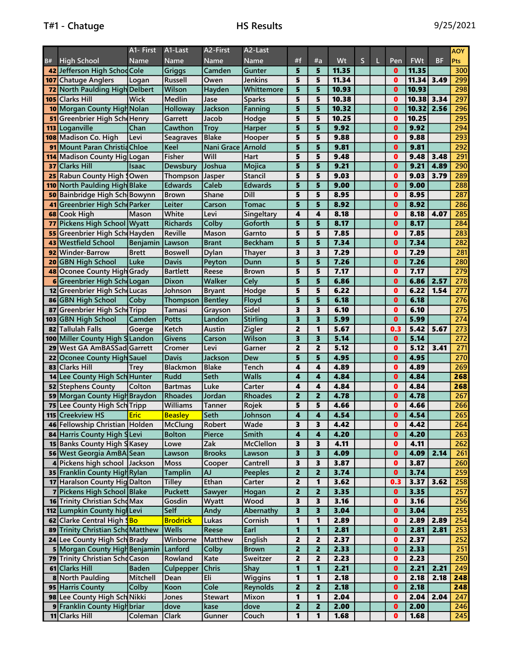|          |                                     | A1- First            | A1-Last          | A2-First           | A <sub>2</sub> -Last |                         |                         |              |             |              |              |           | <b>AOY</b>       |
|----------|-------------------------------------|----------------------|------------------|--------------------|----------------------|-------------------------|-------------------------|--------------|-------------|--------------|--------------|-----------|------------------|
| B#       | <b>High School</b>                  | Name                 | Name             | Name               | Name                 | #f                      | #a                      | Wt           | $\mathsf S$ | Pen          | <b>FWt</b>   | <b>BF</b> | <b>Pts</b>       |
|          | 42 Jefferson High SchodCole         |                      | Griggs           | Camden             | Gunter               | 5                       | 5                       | 11.35        |             | $\mathbf{0}$ | 11.35        |           | 300              |
| 107      | <b>Chatuge Anglers</b>              | Logan                | Russell          | Owen               | Jenkins              | 5                       | 5                       | 11.34        |             | $\mathbf{0}$ | 11.34        | 3.49      | 299              |
| 72       | North Paulding High Delbert         |                      | Wilson           | Hayden             | Whittemore           | 5                       | 5                       | 10.93        |             | $\mathbf{0}$ | 10.93        |           | 298              |
| 105      | <b>Clarks Hill</b>                  | <b>Wick</b>          | Medlin           | Jase               | <b>Sparks</b>        | 5                       | 5                       | 10.38        |             | $\bf{0}$     | 10.38        | 3.34      | 297              |
|          | 10 Morgan County High Nolan         |                      | Holloway         | Jackson            | Fanning              | 5                       | 5                       | 10.32        |             | $\mathbf{0}$ | 10.32        | 2.56      | 296              |
| 51       | Greenbrier High Sch Henry           |                      | Garrett          | Jacob              | Hodge                | 5                       | 5                       | 10.25        |             | $\bf{0}$     | 10.25        |           | 295              |
| 113      | Loganville                          | Chan                 | Cawthon          | <b>Troy</b>        | Harper               | 5                       | 5                       | 9.92         |             | $\bf{0}$     | 9.92         |           | 294              |
| 108      | Madison Co. High                    | Levi                 | <b>Seagraves</b> | <b>Blake</b>       | Hooper               | 5                       | 5                       | 9.88         |             | $\mathbf 0$  | 9.88         |           | 293              |
| 91       | Mount Paran Christia Chloe          |                      | Keel             | Nani Grace         | <b>Arnold</b>        | 5                       | 5                       | 9.81         |             | $\mathbf{0}$ | 9.81         |           | 292              |
| 114      | Madison County Hig Logan            |                      | Fisher           | Will               | Hart                 | 5                       | 5                       | 9.48         |             | $\mathbf{0}$ | 9.48         | 3.48      | 291              |
| 37       | <b>Clarks Hill</b>                  | Isaac                | Dewsbury         | Joshua             | Mojica               | 5                       | 5                       | 9.21         |             | $\mathbf{0}$ | 9.21         | 4.89      | 290              |
| 25       | Rabun County High (Owen             |                      | Thompson         | <b>Jasper</b>      | <b>Stancil</b>       | 5                       | 5                       | 9.03         |             | $\mathbf{0}$ | 9.03         | 3.79      | 289              |
|          | 110 North Paulding High Blake       |                      | <b>Edwards</b>   | Caleb              | <b>Edwards</b>       | 5                       | 5                       | 9.00         |             | $\mathbf{0}$ | 9.00         |           | 288              |
|          | Bainbridge High Sch Bowynn          |                      | <b>Brown</b>     | Shane              | Dill                 | 5                       | 5                       | 8.95         |             | $\bf{0}$     | 8.95         |           | 287              |
| 50<br>41 | Greenbrier High Sch Parker          |                      | Leiter           | Carson             | <b>Tomac</b>         | 5                       | 5                       | 8.92         |             | $\bf{0}$     | 8.92         |           | 286              |
| 68       | <b>Cook High</b>                    | Mason                | White            | Levi               | Singeltary           | 4                       | 4                       | 8.18         |             | 0            | 8.18         | 4.07      | 285              |
| 77       | <b>Pickens High School Wyatt</b>    |                      | <b>Richards</b>  | Colby              | Goforth              | 5                       | 5                       | 8.17         |             | $\mathbf{0}$ | 8.17         |           | 284              |
|          | Greenbrier High Sch Hayden          |                      | Reville          | Mason              | Garnto               | 5                       | 5                       | 7.85         |             | $\mathbf{0}$ | 7.85         |           | 283              |
| 55       |                                     |                      |                  |                    |                      | 5                       |                         |              |             | $\mathbf{0}$ |              |           |                  |
| 43       | <b>Westfield School</b>             | <b>Benjamin</b>      | Lawson           | <b>Brant</b>       | <b>Beckham</b>       | 3                       | 5<br>3                  | 7.34         |             | $\mathbf{0}$ | 7.34         |           | 282              |
| 92       | <b>Winder-Barrow</b>                | <b>Brett</b><br>Luke | <b>Boswell</b>   | Dylan              | <b>Thayer</b>        | 5                       | 5                       | 7.29<br>7.26 |             | $\bullet$    | 7.29<br>7.26 |           | 281<br>280       |
| 20       | <b>GBN High School</b>              |                      | Davis            | Peyton             | Dunn                 | 5                       | 5                       |              |             | $\bullet$    | 7.17         |           | 279              |
| 48       | Oconee County High Grady            |                      | <b>Bartlett</b>  | Reese              | <b>Brown</b>         |                         |                         | 7.17         |             |              |              |           |                  |
| 6        | Greenbrier High Schologan           |                      | Dixon            | Walker             | Celv                 | 5                       | 5                       | 6.86         |             | $\mathbf{0}$ | 6.86         | 2.57      | 278              |
| 12       | Greenbrier High Sch Lucas           |                      | Johnson          | <b>Bryant</b>      | Hodge                | 5                       | 5                       | 6.22         |             | $\mathbf{0}$ | 6.22         | 1.54      | 277              |
| 86       | <b>GBN High School</b>              | Coby                 | Thompson         | Bentley            | Floyd                | 5                       | 5                       | 6.18         |             | $\mathbf{0}$ | 6.18         |           | 276              |
| 87       | Greenbrier High Sch Tripp           |                      | Tamasi           | Grayson            | Sidel                | 3                       | 3                       | 6.10         |             | $\mathbf{0}$ | 6.10         |           | 275              |
| 103      | <b>GBN High School</b>              | Camden               | Potts            | Landon             | <b>Stirling</b>      | 3                       | 3                       | 5.99         |             | $\bf{0}$     | 5.99         |           | $\overline{274}$ |
| 82       | Tallulah Falls                      | Goerge               | Ketch            | Austin             | <b>Zigler</b>        | $\overline{2}$          | 1                       | 5.67         |             | 0.3          | 5.42         | 5.67      | 273              |
|          | 100 Miller County High S Landon     |                      | <b>Givens</b>    | Carson             | Wilson               | $\overline{\mathbf{3}}$ | 3                       | 5.14         |             | $\bullet$    | 5.14         |           | 272              |
| 29       | West GA AmBASSad Garrett            |                      | Cromer           | Levi               | Garner               | $\overline{2}$          | 2                       | 5.12         |             | $\mathbf{0}$ | 5.12         | 3.41      | 271              |
| 22       | Oconee County High Sauel            |                      | <b>Davis</b>     | Jackson            | Dew                  | 5                       | 5                       | 4.95         |             | $\mathbf{0}$ | 4.95         |           | 270              |
| 83       | <b>Clarks Hill</b>                  | Trey                 | <b>Blackmon</b>  | <b>Blake</b>       | Tench                | 4                       | 4                       | 4.89         |             | 0            | 4.89         |           | 269              |
| 14       | Lee County High Sch Hunter          |                      | <b>Rudd</b>      | Seth               | <b>Walls</b>         | 4                       | 4                       | 4.84         |             | $\mathbf{0}$ | 4.84         |           | 268              |
|          | 52 Stephens County                  | Colton               | <b>Bartmas</b>   | Luke               | Carter               | 4                       | 4                       | 4.84         |             | 0            | 4.84         |           | 268              |
|          | 59 Morgan County High Braydon       |                      | <b>Rhoades</b>   | Jordan             | Rhoades              | $\overline{2}$          | $\overline{2}$          | 4.78         |             | $\mathbf{0}$ | 4.78         |           | 267              |
| 75       | Lee County High Sch Tripp           |                      | <b>Williams</b>  | Tanner             | Rojek                | 5                       | 5                       | 4.66         |             | $\mathbf{0}$ | 4.66         |           | 266              |
|          | 115 Creekview HS                    | <b>Eric</b>          | <b>Beasley</b>   | Seth               | Johnson              | 4                       | $\overline{\mathbf{4}}$ | 4.54         |             | $\bullet$    | 4.54         |           | 265              |
|          | 46 Fellowship Christian Holden      |                      | McClung          | Robert             | Wade                 | 3                       | 3                       | 4.42         |             | $\mathbf{a}$ | 4.42         |           | $\overline{264}$ |
|          | 84 Harris County High SLevi         |                      | <b>Bolton</b>    | Pierce             | Smith                | 4                       | $\boldsymbol{4}$        | 4.20         |             | $\bullet$    | 4.20         |           | 263              |
|          | <b>15 Banks County High S Kasey</b> |                      | Lowe             | Zak                | McClellon            | 3                       | 3                       | 4.11         |             | $\mathbf 0$  | 4.11         |           | 262              |
|          | 56 West Georgia AmBA Sean           |                      | Lawson           | <b>Brooks</b>      | Lawson               | 3                       | 3                       | 4.09         |             | $\bullet$    | 4.09         | 2.14      | 261              |
|          | 4 Pickens high school Jackson       |                      | Moss             | Cooper             | Cantrell             | 3                       | 3                       | 3.87         |             | $\mathbf 0$  | 3.87         |           | 260              |
|          | 35 Franklin County High Rylan       |                      | <b>Tamplin</b>   | <b>AJ</b><br>Ethan | <b>Peeples</b>       | $\overline{\mathbf{c}}$ | $\overline{\mathbf{2}}$ | 3.74         |             | $\bullet$    | 3.74         |           | 259              |
|          | 17 Haralson County Hig Dalton       |                      | <b>Tilley</b>    |                    | Carter               | $\overline{2}$          | 1                       | 3.62         |             | 0.3          | 3.37         | 3.62      | 258              |
|          | 7 Pickens High School Blake         |                      | Puckett          | Sawyer             | Hogan                | $\overline{\mathbf{2}}$ | $\overline{2}$          | 3.35         |             | $\bullet$    | 3.35         |           | 257              |
|          | <b>16</b> Trinity Christian SchoMax |                      | Gosdin           | Wyatt              | Wood                 | 3                       | 3                       | 3.16         |             | $\bullet$    | 3.16         |           | 256              |
|          | 112 Lumpkin County hig Levi         |                      | Self             | Andy               | Abernathy            | 3                       | 3                       | 3.04         |             | $\bullet$    | 3.04         |           | 255              |
|          | 62 Clarke Central High SBo          |                      | <b>Brodrick</b>  | Lukas              | Cornish              | 1                       | 1                       | 2.89         |             | $\bullet$    | 2.89         | 2.89      | 254              |
|          | 89 Trinity Christian Scho Matthew   |                      | <b>Wells</b>     | Reese              | Earl                 | 1                       | 1                       | 2.81         |             | $\mathbf{0}$ | 2.81         | 2.81      | 253              |
|          | 24 Lee County High Sch Brady        |                      | Winborne         | <b>Matthew</b>     | English              | 2                       | 2                       | 2.37         |             | $\bullet$    | 2.37         |           | 252              |
|          | 5 Morgan County High Benjamin       |                      | Lanford          | Colby              | <b>Brown</b>         | $\overline{\mathbf{2}}$ | $\overline{2}$          | 2.33         |             | $\bullet$    | 2.33         |           | 251              |
|          | 79 Trinity Christian Scho Cason     |                      | Rowland          | Kate               | Sweitzer             | $\overline{2}$          | 2                       | 2.23         |             | $\bullet$    | 2.23         |           | 250              |
|          | 61 Clarks Hill                      | <b>Baden</b>         | Culpepper        | <b>Chris</b>       | Shay                 | 1                       | 1                       | 2.21         |             | $\bullet$    | 2.21         | 2.21      | 249              |
|          | 8 North Paulding                    | Mitchell             | Dean             | Eli                | Wiggins              | 1                       | 1                       | 2.18         |             | $\bullet$    | 2.18         | 2.18      | 248              |
|          | 95 Harris County                    | Colby                | Koon             | Cole               | <b>Reynolds</b>      | 2                       | $\overline{2}$          | 2.18         |             | $\bullet$    | 2.18         |           | 248              |
|          | 98 Lee County High Sch Nikki        |                      | Jones            | <b>Stewart</b>     | Mixon                | 1                       | 1                       | 2.04         |             | $\bullet$    | 2.04         | 2.04      | 247              |
|          | 9 Franklin County High briar        |                      | dove             | kase               | dove                 | 2                       | 2                       | 2.00         |             | $\mathbf{0}$ | 2.00         |           | 246<br>245       |
|          | 11 Clarks Hill                      | Coleman              | Clark            | Gunner             | Couch                | 1                       | 1                       | 1.68         |             | $\mathbf 0$  | 1.68         |           |                  |